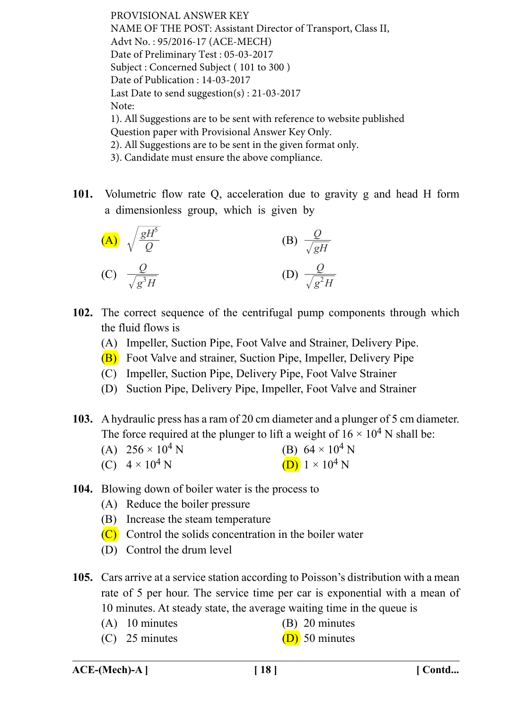PROVISIONAL ANSWER KEY NAME OF THE POST: Assistant Director of Transport, Class II, Advt No. : 95/2016-17 (ACE-MECH) Date of Preliminary Test : 05-03-2017 Subject : Concerned Subject ( 101 to 300 ) Date of Publication : 14-03-2017 Last Date to send suggestion(s) : 21-03-2017 Note: 1). All Suggestions are to be sent with reference to website published Question paper with Provisional Answer Key Only. 2). All Suggestions are to be sent in the given format only. 3). Candidate must ensure the above compliance.

**101.** Volumetric flow rate Q, acceleration due to gravity g and head H form a dimensionless group, which is given by



- **102.** The correct sequence of the centrifugal pump components through which the fluid flows is
	- (A) Impeller, Suction Pipe, Foot Valve and Strainer, Delivery Pipe.
	- (B) Foot Valve and strainer, Suction Pipe, Impeller, Delivery Pipe
	- (C) Impeller, Suction Pipe, Delivery Pipe, Foot Valve Strainer
	- (D) Suction Pipe, Delivery Pipe, Impeller, Foot Valve and Strainer
- **103.** A hydraulic press has a ram of 20 cm diameter and a plunger of 5 cm diameter. The force required at the plunger to lift a weight of  $16 \times 10^4$  N shall be:
	- (A)  $256 \times 10^4$  N (B)  $64 \times 10^4$  N (C)  $4 \times 10^4$  N (D)  $1 \times 10^4$  N
- **104.** Blowing down of boiler water is the process to
	- (A) Reduce the boiler pressure
	- (B) Increase the steam temperature
	- (C) Control the solids concentration in the boiler water
	- (D) Control the drum level
- **105.** Cars arrive at a service station according to Poisson's distribution with a mean rate of 5 per hour. The service time per car is exponential with a mean of 10 minutes. At steady state, the average waiting time in the queue is
	- (A) 10 minutes (B) 20 minutes
	- (C) 25 minutes (D) 50 minutes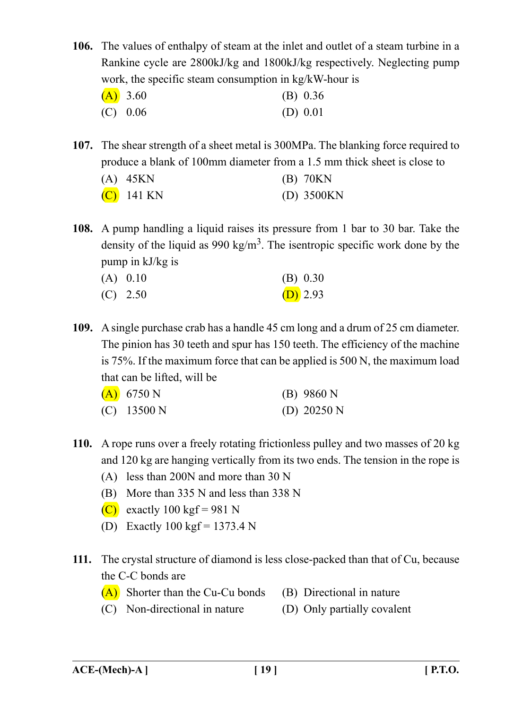**106.** The values of enthalpy of steam at the inlet and outlet of a steam turbine in a Rankine cycle are 2800kJ/kg and 1800kJ/kg respectively. Neglecting pump work, the specific steam consumption in kg/kW-hour is

| (A) 3.60   | (B) 0.36   |
|------------|------------|
| $(C)$ 0.06 | (D) $0.01$ |

**107.** The shear strength of a sheet metal is 300MPa. The blanking force required to produce a blank of 100mm diameter from a 1.5 mm thick sheet is close to

| $(A)$ 45KN   | $(B)$ 70KN   |
|--------------|--------------|
| $(C)$ 141 KN | $(D)$ 3500KN |

**108.** A pump handling a liquid raises its pressure from 1 bar to 30 bar. Take the density of the liquid as 990 kg/m<sup>3</sup>. The isentropic specific work done by the pump in kJ/kg is

| $(A)$ 0.10 | (B) 0.30   |
|------------|------------|
| $(C)$ 2.50 | $(D)$ 2.93 |

**109.** A single purchase crab has a handle 45 cm long and a drum of 25 cm diameter. The pinion has 30 teeth and spur has 150 teeth. The efficiency of the machine is 75%. If the maximum force that can be applied is 500 N, the maximum load that can be lifted, will be

| (A) 6750 N    | $(B)$ 9860 N  |
|---------------|---------------|
| $(C)$ 13500 N | (D) $20250 N$ |

- **110.** A rope runs over a freely rotating frictionless pulley and two masses of 20 kg and 120 kg are hanging vertically from its two ends. The tension in the rope is
	- (A) less than 200N and more than 30 N
	- (B) More than 335 N and less than 338 N
	- (C) exactly 100 kgf = 981 N
	- (D) Exactly  $100 \text{ kgf} = 1373.4 \text{ N}$
- **111.** The crystal structure of diamond is less close-packed than that of Cu, because the C-C bonds are
	- (A) Shorter than the Cu-Cu bonds (B) Directional in nature
	- (C) Non-directional in nature (D) Only partially covalent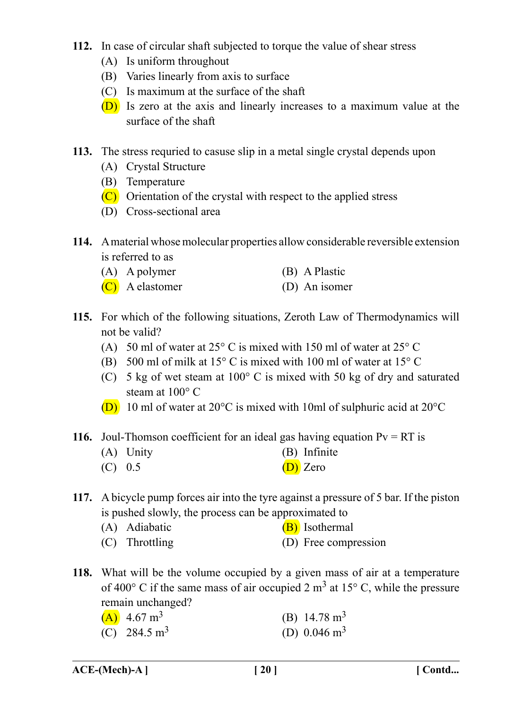- **112.** In case of circular shaft subjected to torque the value of shear stress
	- (A) Is uniform throughout
	- (B) Varies linearly from axis to surface
	- (C) Is maximum at the surface of the shaft
	- (D) Is zero at the axis and linearly increases to a maximum value at the surface of the shaft
- **113.** The stress requried to casuse slip in a metal single crystal depends upon
	- (A) Crystal Structure
	- (B) Temperature
	- (C) Orientation of the crystal with respect to the applied stress
	- (D) Cross-sectional area
- **114.** A material whose molecular properties allow considerable reversible extension is referred to as
	- (A) A polymer (B) A Plastic
	- (C) A elastomer (D) An isomer
- **115.** For which of the following situations, Zeroth Law of Thermodynamics will not be valid?
	- (A) 50 ml of water at 25° C is mixed with 150 ml of water at 25° C
	- (B) 500 ml of milk at 15° C is mixed with 100 ml of water at 15° C
	- (C) 5 kg of wet steam at 100° C is mixed with 50 kg of dry and saturated steam at 100° C
	- (D) 10 ml of water at 20°C is mixed with 10ml of sulphuric acid at 20°C
- **116.** Joul-Thomson coefficient for an ideal gas having equation  $Pv = RT$  is
	- (A) Unity (B) Infinite
	- $(D)$  0.5  $(D)$  Zero
- **117.** A bicycle pump forces air into the tyre against a pressure of 5 bar. If the piston is pushed slowly, the process can be approximated to
	- (A) Adiabatic  $(B)$  Isothermal
	- (C) Throttling (D) Free compression
- **118.** What will be the volume occupied by a given mass of air at a temperature of 400 $^{\circ}$  C if the same mass of air occupied 2 m<sup>3</sup> at 15 $^{\circ}$  C, while the pressure remain unchanged?

| $(A)$ 4.67 m <sup>3</sup> | (B) $14.78 \text{ m}^3$ |
|---------------------------|-------------------------|
| (C) 284.5 $\text{m}^3$    | (D) $0.046 \text{ m}^3$ |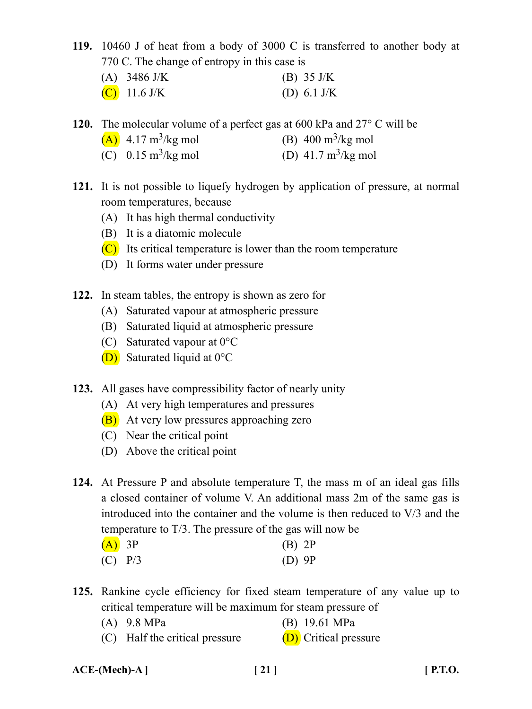**119.** 10460 J of heat from a body of 3000 C is transferred to another body at 770 C. The change of entropy in this case is

| (A) $3486 \text{ J/K}$ | (B) $35 \text{ J/K}$ |
|------------------------|----------------------|
| (C) 11.6 J/K           | (D) 6.1 J/K          |

**120.** The molecular volume of a perfect gas at 600 kPa and 27° C will be

- (A)  $4.17 \text{ m}^3/\text{kg}$  mol (B)  $400 \text{ m}^3/\text{kg}$  mol
- (C)  $0.15 \text{ m}^3/\text{kg}$  mol (D)  $41.7 \text{ m}^3/\text{kg}$  mol
- **121.** It is not possible to liquefy hydrogen by application of pressure, at normal room temperatures, because
	- (A) It has high thermal conductivity
	- (B) It is a diatomic molecule
	- $(C)$  Its critical temperature is lower than the room temperature
	- (D) It forms water under pressure
- **122.** In steam tables, the entropy is shown as zero for
	- (A) Saturated vapour at atmospheric pressure
	- (B) Saturated liquid at atmospheric pressure
	- (C) Saturated vapour at 0°C
	- (D) Saturated liquid at 0°C
- **123.** All gases have compressibility factor of nearly unity
	- (A) At very high temperatures and pressures
	- (B) At very low pressures approaching zero
	- (C) Near the critical point
	- (D) Above the critical point
- **124.** At Pressure P and absolute temperature T, the mass m of an ideal gas fills a closed container of volume V. An additional mass 2m of the same gas is introduced into the container and the volume is then reduced to V/3 and the temperature to T/3. The pressure of the gas will now be

| $(A)$ 3P  | $(B)$ 2P |  |
|-----------|----------|--|
| $(C)$ P/3 | $(D)$ 9P |  |

- **125.** Rankine cycle efficiency for fixed steam temperature of any value up to critical temperature will be maximum for steam pressure of
	- (A) 9.8 MPa (B) 19.61 MPa
	- (C) Half the critical pressure  $(D)$  Critical pressure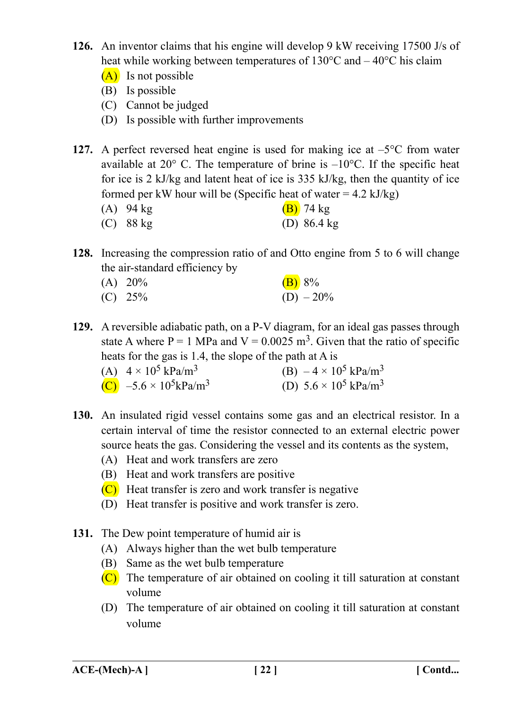- **126.** An inventor claims that his engine will develop 9 kW receiving 17500 J/s of heat while working between temperatures of 130°C and –40°C his claim
	- (A) Is not possible
	- (B) Is possible
	- (C) Cannot be judged
	- (D) Is possible with further improvements
- **127.** A perfect reversed heat engine is used for making ice at –5°C from water available at  $20^{\circ}$  C. The temperature of brine is  $-10^{\circ}$ C. If the specific heat for ice is 2 kJ/kg and latent heat of ice is 335 kJ/kg, then the quantity of ice formed per kW hour will be (Specific heat of water  $= 4.2$  kJ/kg)
	- (A) 94 kg  $(B)$  74 kg
	- (C) 88 kg (D) 86.4 kg
- **128.** Increasing the compression ratio of and Otto engine from 5 to 6 will change the air-standard efficiency by
	- (A)  $20\%$  (B)  $8\%$ (C)  $25\%$  (D)  $-20\%$
- **129.** A reversible adiabatic path, on a P-V diagram, for an ideal gas passes through state A where  $P = 1$  MPa and  $V = 0.0025$  m<sup>3</sup>. Given that the ratio of specific heats for the gas is 1.4, the slope of the path at A is
	- (A)  $4 \times 10^5 \text{ kPa/m}^3$  (B)  $-4 \times 10^5 \text{ kPa/m}^3$ (C) –5.6 × 10<sup>5</sup>kPa/m<sup>3</sup> (D) 5.6 × 10<sup>5</sup> kPa/m<sup>3</sup>
- **130.** An insulated rigid vessel contains some gas and an electrical resistor. In a certain interval of time the resistor connected to an external electric power source heats the gas. Considering the vessel and its contents as the system,
	- (A) Heat and work transfers are zero
	- (B) Heat and work transfers are positive
	- (C) Heat transfer is zero and work transfer is negative
	- (D) Heat transfer is positive and work transfer is zero.
- **131.** The Dew point temperature of humid air is
	- (A) Always higher than the wet bulb temperature
	- (B) Same as the wet bulb temperature
	- (C) The temperature of air obtained on cooling it till saturation at constant volume
	- (D) The temperature of air obtained on cooling it till saturation at constant volume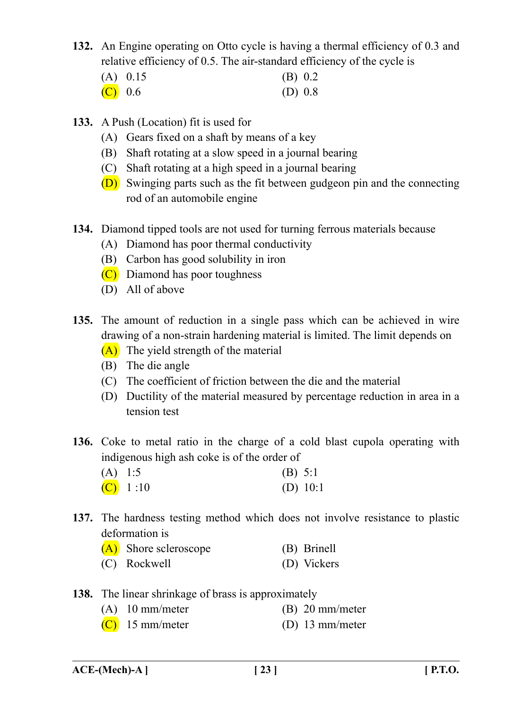**132.** An Engine operating on Otto cycle is having a thermal efficiency of 0.3 and relative efficiency of 0.5. The air-standard efficiency of the cycle is

|         | $(A)$ 0.15 | (B) 0.2   |
|---------|------------|-----------|
| (C) 0.6 |            | (D) $0.8$ |

- **133.** A Push (Location) fit is used for
	- (A) Gears fixed on a shaft by means of a key
	- (B) Shaft rotating at a slow speed in a journal bearing
	- (C) Shaft rotating at a high speed in a journal bearing
	- (D) Swinging parts such as the fit between gudgeon pin and the connecting rod of an automobile engine
- **134.** Diamond tipped tools are not used for turning ferrous materials because
	- (A) Diamond has poor thermal conductivity
	- (B) Carbon has good solubility in iron
	- (C) Diamond has poor toughness
	- (D) All of above
- **135.** The amount of reduction in a single pass which can be achieved in wire drawing of a non-strain hardening material is limited. The limit depends on
	- (A) The yield strength of the material
	- (B) The die angle
	- (C) The coefficient of friction between the die and the material
	- (D) Ductility of the material measured by percentage reduction in area in a tension test
- **136.** Coke to metal ratio in the charge of a cold blast cupola operating with indigenous high ash coke is of the order of

| $(A)$ 1:5 |          | (B) $5:1$  |
|-----------|----------|------------|
|           | (C) 1:10 | (D) $10:1$ |

**137.** The hardness testing method which does not involve resistance to plastic deformation is

| (A) Shore scleroscope | (B) Brinell |
|-----------------------|-------------|
| (C) Rockwell          | (D) Vickers |

- **138.** The linear shrinkage of brass is approximately
	- (A) 10 mm/meter (B) 20 mm/meter
	- $(C)$  15 mm/meter (D) 13 mm/meter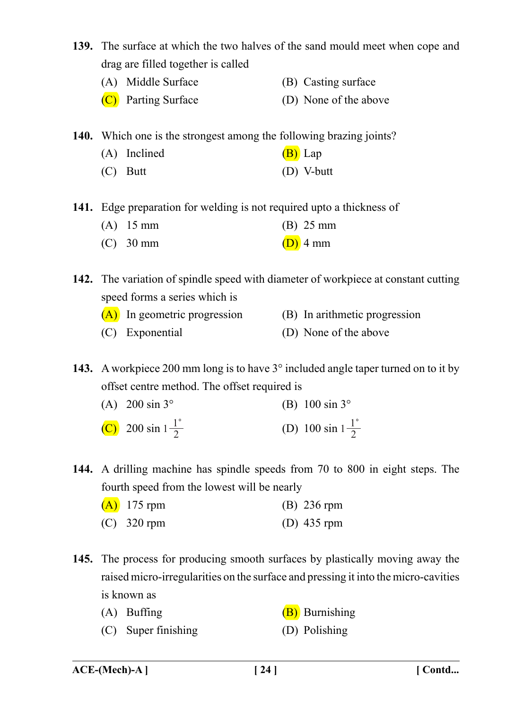- **139.** The surface at which the two halves of the sand mould meet when cope and drag are filled together is called
	- (A) Middle Surface (B) Casting surface
	- (C) Parting Surface (D) None of the above

**140.** Which one is the strongest among the following brazing joints?

- (A) Inclined  $(B)$  Lap
- (C) Butt (D) V-butt

**141.** Edge preparation for welding is not required upto a thickness of

- (A) 15 mm (B) 25 mm
- (C) 30 mm (D) 4 mm

**142.** The variation of spindle speed with diameter of workpiece at constant cutting speed forms a series which is

(A) In geometric progression (B) In arithmetic progression (C) Exponential (D) None of the above

**143.** A workpiece 200 mm long is to have 3° included angle taper turned on to it by offset centre method. The offset required is

- (A)  $200 \sin 3^\circ$  (B)  $100 \sin 3^\circ$ (C) 200 sin  $1\frac{1}{2}$  $\frac{1}{2}$  (D) 100 sin  $1-\frac{1}{2}$
- **144.** A drilling machine has spindle speeds from 70 to 800 in eight steps. The fourth speed from the lowest will be nearly

| $(A)$ 175 rpm | $(B)$ 236 rpm |
|---------------|---------------|
| $(C)$ 320 rpm | (D) $435$ rpm |

- **145.** The process for producing smooth surfaces by plastically moving away the raised micro-irregularities on the surface and pressing it into the micro-cavities is known as
	- (A) Buffing  $(B)$  Burnishing
	- (C) Super finishing (D) Polishing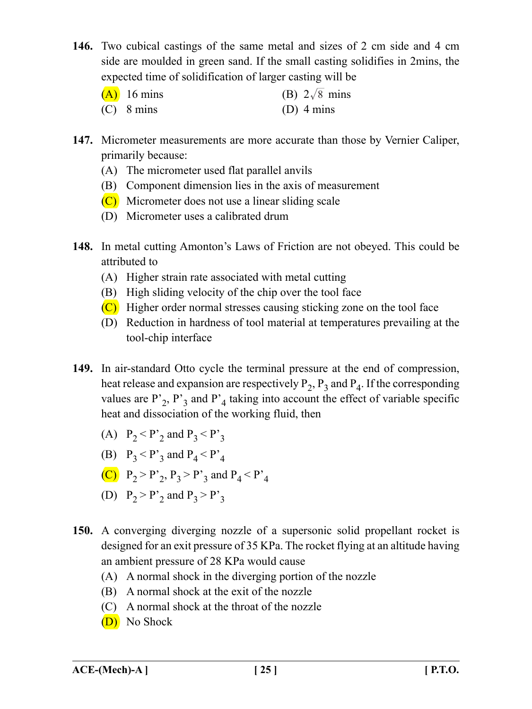**146.** Two cubical castings of the same metal and sizes of 2 cm side and 4 cm side are moulded in green sand. If the small casting solidifies in 2mins, the expected time of solidification of larger casting will be

| $(A)$ 16 mins | (B) $2\sqrt{8}$ mins |
|---------------|----------------------|
| $(C)$ 8 mins  | $(D)$ 4 mins         |

- **147.** Micrometer measurements are more accurate than those by Vernier Caliper, primarily because:
	- (A) The micrometer used flat parallel anvils
	- (B) Component dimension lies in the axis of measurement
	- (C) Micrometer does not use a linear sliding scale
	- (D) Micrometer uses a calibrated drum
- **148.** In metal cutting Amonton's Laws of Friction are not obeyed. This could be attributed to
	- (A) Higher strain rate associated with metal cutting
	- (B) High sliding velocity of the chip over the tool face
	- (C) Higher order normal stresses causing sticking zone on the tool face
	- (D) Reduction in hardness of tool material at temperatures prevailing at the tool-chip interface
- **149.** In air-standard Otto cycle the terminal pressure at the end of compression, heat release and expansion are respectively  $P_2$ ,  $P_3$  and  $P_4$ . If the corresponding values are  $P_2$ ,  $P_3$  and  $P_4$  taking into account the effect of variable specific heat and dissociation of the working fluid, then
	- (A)  $P_2 < P'_2$  and  $P_3 < P'_3$
	- (B)  $P_3 < P'_3$  and  $P_4 < P'_4$
	- (C)  $P_2 > P'_2$ ,  $P_3 > P'_3$  and  $P_4 < P'_4$
	- (D)  $P_2 > P'_2$  and  $P_3 > P'_3$
- **150.** A converging diverging nozzle of a supersonic solid propellant rocket is designed for an exit pressure of 35 KPa. The rocket flying at an altitude having an ambient pressure of 28 KPa would cause
	- (A) A normal shock in the diverging portion of the nozzle
	- (B) A normal shock at the exit of the nozzle
	- (C) A normal shock at the throat of the nozzle
	- (D) No Shock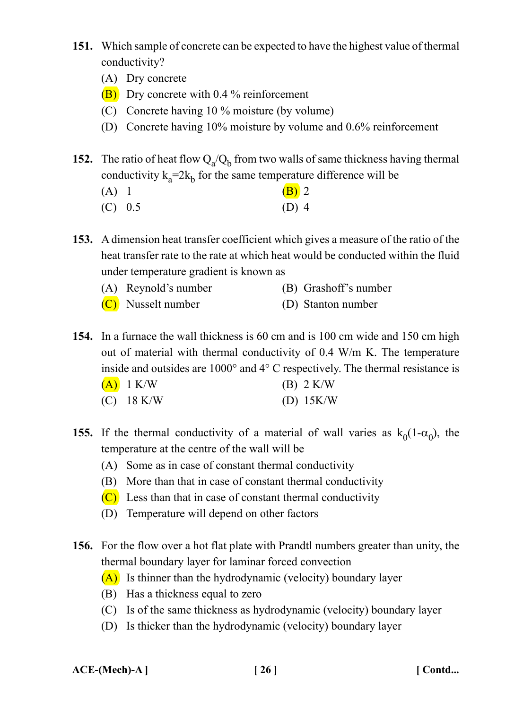- **151.** Which sample of concrete can be expected to have the highest value of thermal conductivity?
	- (A) Dry concrete
	- (B) Dry concrete with 0.4 % reinforcement
	- (C) Concrete having 10 % moisture (by volume)
	- (D) Concrete having 10% moisture by volume and 0.6% reinforcement
- **152.** The ratio of heat flow  $Q_a/Q_b$  from two walls of same thickness having thermal conductivity  $k_a=2k_b$  for the same temperature difference will be
	- (A) 1 (B) 2
	- $(C)$  0.5 (D) 4

**153.** A dimension heat transfer coefficient which gives a measure of the ratio of the heat transfer rate to the rate at which heat would be conducted within the fluid under temperature gradient is known as

- (A) Reynold's number (B) Grashoff's number
- (C) Nusselt number (D) Stanton number

**154.** In a furnace the wall thickness is 60 cm and is 100 cm wide and 150 cm high out of material with thermal conductivity of 0.4 W/m K. The temperature inside and outsides are 1000° and 4° C respectively. The thermal resistance is

| $(A)$ 1 K/W  | $(B)$ 2 K/W |
|--------------|-------------|
| $(C)$ 18 K/W | (D) $15K/W$ |

- **155.** If the thermal conductivity of a material of wall varies as  $k_0(1-\alpha_0)$ , the temperature at the centre of the wall will be
	- (A) Some as in case of constant thermal conductivity
	- (B) More than that in case of constant thermal conductivity
	- $(C)$  Less than that in case of constant thermal conductivity
	- (D) Temperature will depend on other factors
- **156.** For the flow over a hot flat plate with Prandtl numbers greater than unity, the thermal boundary layer for laminar forced convection
	- (A) Is thinner than the hydrodynamic (velocity) boundary layer
	- (B) Has a thickness equal to zero
	- (C) Is of the same thickness as hydrodynamic (velocity) boundary layer
	- (D) Is thicker than the hydrodynamic (velocity) boundary layer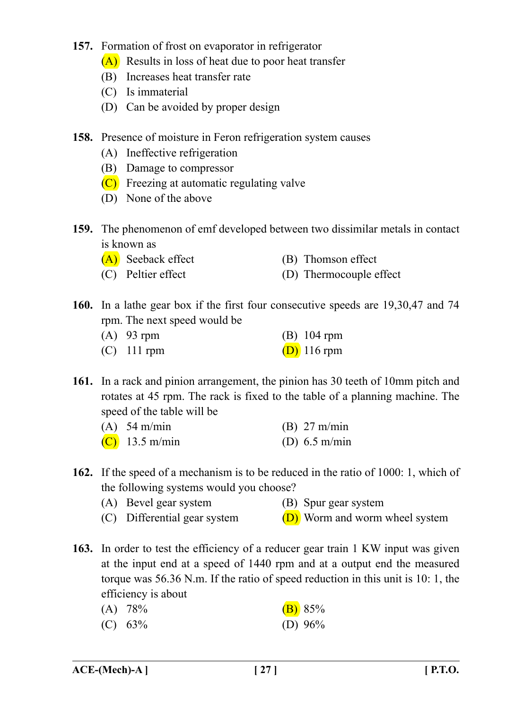- **157.** Formation of frost on evaporator in refrigerator
	- (A) Results in loss of heat due to poor heat transfer
	- (B) Increases heat transfer rate
	- (C) Is immaterial
	- (D) Can be avoided by proper design
- **158.** Presence of moisture in Feron refrigeration system causes
	- (A) Ineffective refrigeration
	- (B) Damage to compressor
	- (C) Freezing at automatic regulating valve
	- (D) None of the above
- **159.** The phenomenon of emf developed between two dissimilar metals in contact is known as
	- (A) Seeback effect (B) Thomson effect
	- (C) Peltier effect (D) Thermocouple effect
- **160.** In a lathe gear box if the first four consecutive speeds are 19,30,47 and 74 rpm. The next speed would be
	- (A) 93 rpm (B) 104 rpm (C) 111 rpm  $(D)$  116 rpm
- **161.** In a rack and pinion arrangement, the pinion has 30 teeth of 10mm pitch and rotates at 45 rpm. The rack is fixed to the table of a planning machine. The speed of the table will be

| $(A)$ 54 m/min | $(B)$ 27 m/min  |
|----------------|-----------------|
| (C) 13.5 m/min | (D) $6.5$ m/min |

- **162.** If the speed of a mechanism is to be reduced in the ratio of 1000: 1, which of the following systems would you choose?
	- (A) Bevel gear system (B) Spur gear system
	- (C) Differential gear system  $(D)$  Worm and worm wheel system
- **163.** In order to test the efficiency of a reducer gear train 1 KW input was given at the input end at a speed of 1440 rpm and at a output end the measured torque was 56.36 N.m. If the ratio of speed reduction in this unit is 10: 1, the efficiency is about
	- (A)  $78\%$  (B)  $85\%$
	- (C) 63% (D) 96%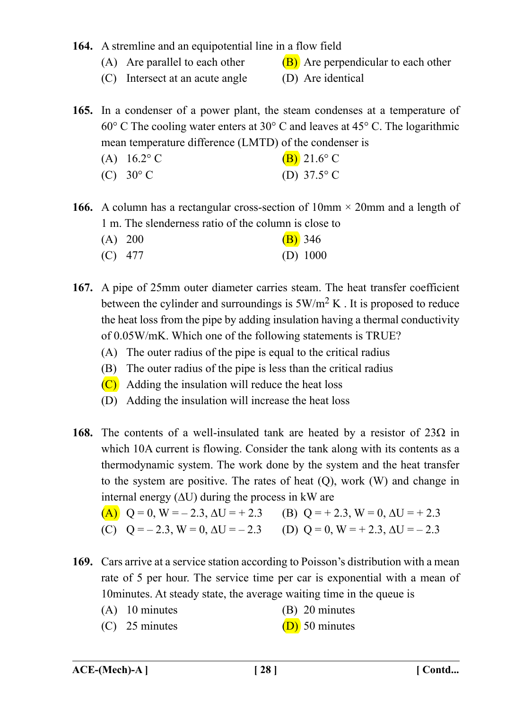## **164.** A stremline and an equipotential line in a flow field

- (A) Are parallel to each other  $(B)$  Are perpendicular to each other
- (C) Intersect at an acute angle (D) Are identical

**165.** In a condenser of a power plant, the steam condenses at a temperature of 60° C The cooling water enters at 30° C and leaves at 45° C. The logarithmic mean temperature difference (LMTD) of the condenser is

(A)  $16.2^{\circ}$  C (B)  $21.6^{\circ}$  C (C)  $30^{\circ}$  C (D)  $37.5^{\circ}$  C

**166.** A column has a rectangular cross-section of  $10 \text{mm} \times 20 \text{mm}$  and a length of 1 m. The slenderness ratio of the column is close to

- (A)  $200$  (B) 346 (C) 477 (D) 1000
- **167.** A pipe of 25mm outer diameter carries steam. The heat transfer coefficient between the cylinder and surroundings is  $5W/m^2 K$ . It is proposed to reduce the heat loss from the pipe by adding insulation having a thermal conductivity of 0.05W/mK. Which one of the following statements is TRUE?
	- (A) The outer radius of the pipe is equal to the critical radius
	- (B) The outer radius of the pipe is less than the critical radius
	- (C) Adding the insulation will reduce the heat loss
	- (D) Adding the insulation will increase the heat loss
- **168.** The contents of a well-insulated tank are heated by a resistor of  $23\Omega$  in which 10A current is flowing. Consider the tank along with its contents as a thermodynamic system. The work done by the system and the heat transfer to the system are positive. The rates of heat (Q), work (W) and change in internal energy  $(\Delta U)$  during the process in kW are

(A) 
$$
Q = 0
$$
,  $W = -2.3$ ,  $\Delta U = +2.3$   
\n(B)  $Q = +2.3$ ,  $W = 0$ ,  $\Delta U = +2.3$   
\n(C)  $Q = -2.3$ ,  $W = 0$ ,  $\Delta U = -2.3$   
\n(D)  $Q = 0$ ,  $W = +2.3$ ,  $\Delta U = -2.3$ 

- **169.** Cars arrive at a service station according to Poisson's distribution with a mean rate of 5 per hour. The service time per car is exponential with a mean of 10minutes. At steady state, the average waiting time in the queue is
	- (A) 10 minutes (B) 20 minutes
	- (C) 25 minutes (D) 50 minutes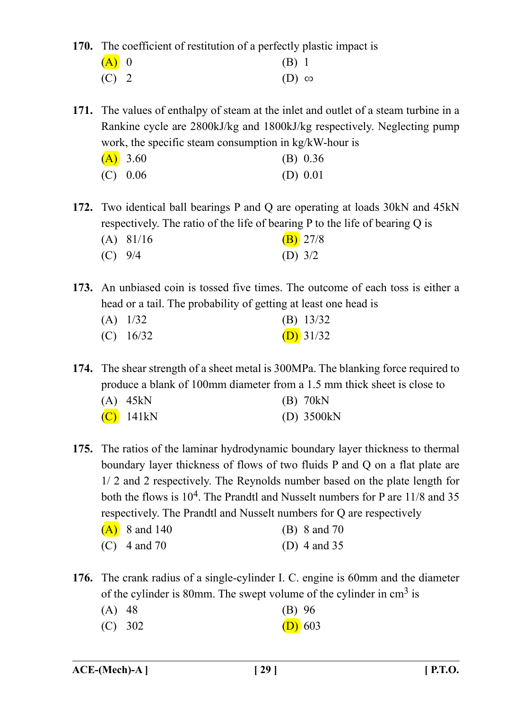**170.** The coefficient of restitution of a perfectly plastic impact is

| $(A)$ 0 | $(B)$ 1        |  |
|---------|----------------|--|
| $(C)$ 2 | $(D)$ $\infty$ |  |

**171.** The values of enthalpy of steam at the inlet and outlet of a steam turbine in a Rankine cycle are 2800kJ/kg and 1800kJ/kg respectively. Neglecting pump work, the specific steam consumption in kg/kW-hour is

| (A) 3.60   | (B) 0.36   |
|------------|------------|
| $(C)$ 0.06 | (D) $0.01$ |

**172.** Two identical ball bearings P and Q are operating at loads 30kN and 45kN respectively. The ratio of the life of bearing P to the life of bearing Q is

|           | $(A)$ 81/16 | $(B)$ 27/8 |
|-----------|-------------|------------|
| $(C)$ 9/4 |             | (D) $3/2$  |

**173.** An unbiased coin is tossed five times. The outcome of each toss is either a head or a tail. The probability of getting at least one head is

| $(A)$ 1/32  | (B) $13/32$ |
|-------------|-------------|
| $(C)$ 16/32 | (D) $31/32$ |

**174.** The shear strength of a sheet metal is 300MPa. The blanking force required to produce a blank of 100mm diameter from a 1.5 mm thick sheet is close to

| $(A)$ 45kN   | $(B)$ 70kN    |
|--------------|---------------|
| $(C)$ 141 kN | $(D)$ 3500 kN |

**175.** The ratios of the laminar hydrodynamic boundary layer thickness to thermal boundary layer thickness of flows of two fluids P and Q on a flat plate are 1/ 2 and 2 respectively. The Reynolds number based on the plate length for both the flows is 10<sup>4</sup>. The Prandtl and Nusselt numbers for P are 11/8 and 35 respectively. The Prandtl and Nusselt numbers for Q are respectively

| $(A)$ 8 and 140 | (B) 8 and 70   |
|-----------------|----------------|
| (C) 4 and 70    | (D) 4 and $35$ |

**176.** The crank radius of a single-cylinder I. C. engine is 60mm and the diameter of the cylinder is 80mm. The swept volume of the cylinder in  $cm<sup>3</sup>$  is

| $(A)$ 48 | $(B)$ 96 |
|----------|----------|
|----------|----------|

(C)  $302$  (D) 603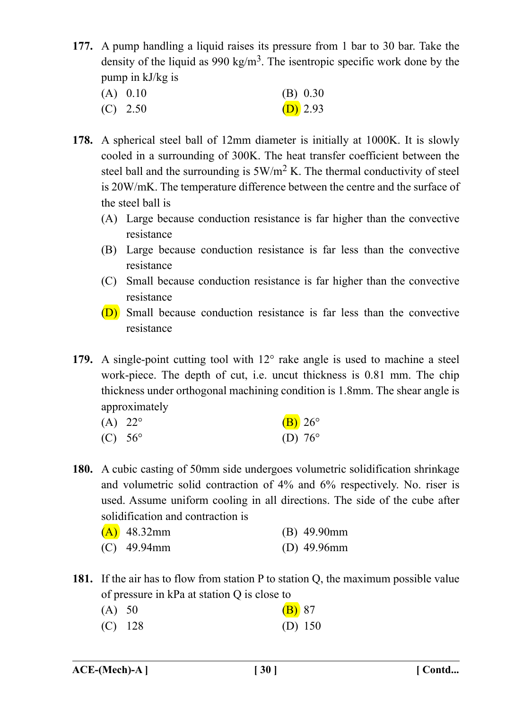**177.** A pump handling a liquid raises its pressure from 1 bar to 30 bar. Take the density of the liquid as 990 kg/m<sup>3</sup>. The isentropic specific work done by the pump in kJ/kg is

| $(A)$ 0.10 | (B) 0.30 |  |
|------------|----------|--|
| $(C)$ 2.50 | (D) 2.93 |  |

- **178.** A spherical steel ball of 12mm diameter is initially at 1000K. It is slowly cooled in a surrounding of 300K. The heat transfer coefficient between the steel ball and the surrounding is  $5W/m^2 K$ . The thermal conductivity of steel is 20W/mK. The temperature difference between the centre and the surface of the steel ball is
	- (A) Large because conduction resistance is far higher than the convective resistance
	- (B) Large because conduction resistance is far less than the convective resistance
	- (C) Small because conduction resistance is far higher than the convective resistance
	- (D) Small because conduction resistance is far less than the convective resistance
- **179.** A single-point cutting tool with 12° rake angle is used to machine a steel work-piece. The depth of cut, i.e. uncut thickness is 0.81 mm. The chip thickness under orthogonal machining condition is 1.8mm. The shear angle is approximately

| (A) $22^{\circ}$ | $(B)$ 26°        |
|------------------|------------------|
| (C) $56^{\circ}$ | (D) $76^{\circ}$ |

**180.** A cubic casting of 50mm side undergoes volumetric solidification shrinkage and volumetric solid contraction of 4% and 6% respectively. No. riser is used. Assume uniform cooling in all directions. The side of the cube after solidification and contraction is

| $(A)$ 48.32mm | $(B)$ 49.90mm  |
|---------------|----------------|
| $(C)$ 49.94mm | (D) $49.96$ mm |

**181.** If the air has to flow from station P to station Q, the maximum possible value of pressure in kPa at station Q is close to

| (A) 50 |           | $(B)$ 87  |  |
|--------|-----------|-----------|--|
|        | $(C)$ 128 | (D) $150$ |  |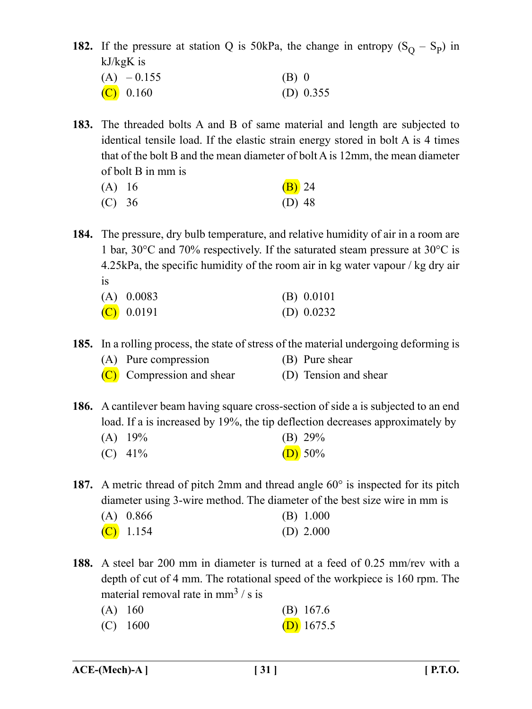**182.** If the pressure at station Q is 50kPa, the change in entropy  $(S_Q - S_P)$  in kJ/kgK is

| $(A) - 0.155$ | $(B)$ 0     |  |
|---------------|-------------|--|
| $(C)$ 0.160   | (D) $0.355$ |  |

- **183.** The threaded bolts A and B of same material and length are subjected to identical tensile load. If the elastic strain energy stored in bolt A is 4 times that of the bolt B and the mean diameter of bolt A is 12mm, the mean diameter of bolt B in mm is
	- (A)  $16$  (B) 24 (C) 36 (D) 48

**184.** The pressure, dry bulb temperature, and relative humidity of air in a room are 1 bar, 30°C and 70% respectively. If the saturated steam pressure at 30°C is 4.25kPa, the specific humidity of the room air in kg water vapour / kg dry air is

| $(A)$ 0.0083 | (B) 0.0101   |
|--------------|--------------|
| $(C)$ 0.0191 | (D) $0.0232$ |

**185.** In a rolling process, the state of stress of the material undergoing deforming is

| (A) Pure compression      | (B) Pure shear        |
|---------------------------|-----------------------|
| (C) Compression and shear | (D) Tension and shear |

**186.** A cantilever beam having square cross-section of side a is subjected to an end load. If a is increased by 19%, the tip deflection decreases approximately by

| $(A)$ 19% | (B) $29\%$ |
|-----------|------------|
|           |            |

(C)  $41\%$  (D) 50%

**187.** A metric thread of pitch 2mm and thread angle 60° is inspected for its pitch diameter using 3-wire method. The diameter of the best size wire in mm is

| $(A)$ 0.866 | (B) 1.000   |
|-------------|-------------|
| $(C)$ 1.154 | (D) $2.000$ |

**188.** A steel bar 200 mm in diameter is turned at a feed of 0.25 mm/rev with a depth of cut of 4 mm. The rotational speed of the workpiece is 160 rpm. The material removal rate in  $mm^3$  / s is

| $(A)$ 160 |  | $(B)$ 167.6 |
|-----------|--|-------------|
|           |  |             |

(C)  $1600$  (D)  $1675.5$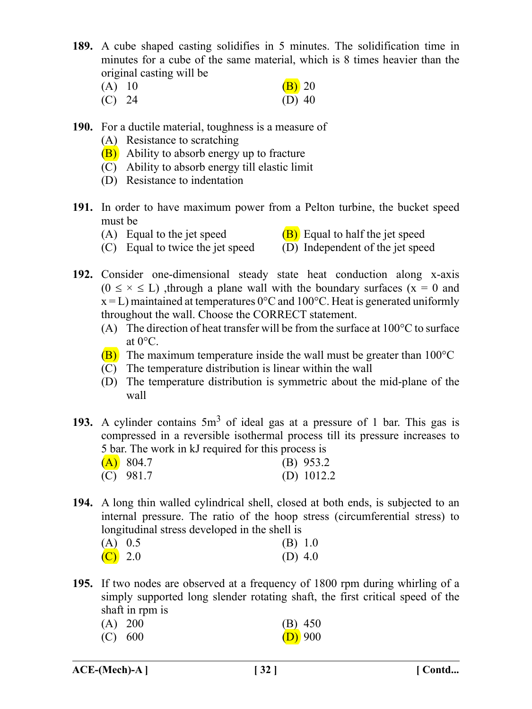- **189.** A cube shaped casting solidifies in 5 minutes. The solidification time in minutes for a cube of the same material, which is 8 times heavier than the original casting will be
	- (A) 10 (B) 20 (C) 24 (D) 40
- **190.** For a ductile material, toughness is a measure of
	- (A) Resistance to scratching
	- (B) Ability to absorb energy up to fracture
	- (C) Ability to absorb energy till elastic limit
	- (D) Resistance to indentation
- **191.** In order to have maximum power from a Pelton turbine, the bucket speed must be
	-
	- (A) Equal to the jet speed  $(B)$  Equal to half the jet speed
	- (C) Equal to twice the jet speed  $(D)$  Independent of the jet speed
- 
- **192.** Consider one-dimensional steady state heat conduction along x-axis  $(0 \le x \le L)$ , through a plane wall with the boundary surfaces  $(x = 0)$  and  $x = L$ ) maintained at temperatures 0°C and 100°C. Heat is generated uniformly throughout the wall. Choose the CORRECT statement.
	- (A) The direction of heat transfer will be from the surface at  $100^{\circ}$ C to surface at  $0^{\circ}$ C.
	- $(B)$  The maximum temperature inside the wall must be greater than 100 $\degree$ C
	- (C) The temperature distribution is linear within the wall
	- (D) The temperature distribution is symmetric about the mid-plane of the wall
- **193.** A cylinder contains 5m3 of ideal gas at a pressure of 1 bar. This gas is compressed in a reversible isothermal process till its pressure increases to 5 bar. The work in kJ required for this process is

| $(A)$ 804.7 | (B) 953.2    |
|-------------|--------------|
| $(C)$ 981.7 | (D) $1012.2$ |

**194.** A long thin walled cylindrical shell, closed at both ends, is subjected to an internal pressure. The ratio of the hoop stress (circumferential stress) to longitudinal stress developed in the shell is

| $(A)$ 0.5 |  | (B) 1.0   |
|-----------|--|-----------|
| (C) 2.0   |  | (D) $4.0$ |

**195.** If two nodes are observed at a frequency of 1800 rpm during whirling of a simply supported long slender rotating shaft, the first critical speed of the shaft in rpm is

| $(A)$ 200 | $(B)$ 450 |  |
|-----------|-----------|--|
| (C) 600   | $(D)$ 900 |  |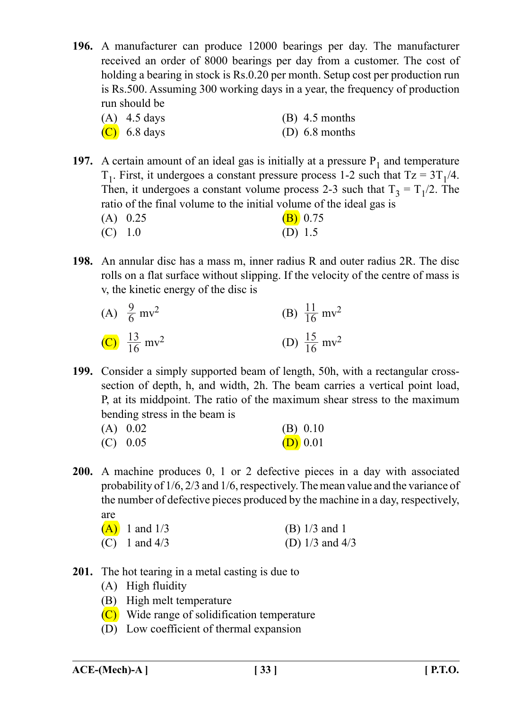**196.** A manufacturer can produce 12000 bearings per day. The manufacturer received an order of 8000 bearings per day from a customer. The cost of holding a bearing in stock is Rs.0.20 per month. Setup cost per production run is Rs.500. Assuming 300 working days in a year, the frequency of production run should be

| $(A)$ 4.5 days | $(B)$ 4.5 months |
|----------------|------------------|
| $(C)$ 6.8 days | (D) $6.8$ months |

- **197.** A certain amount of an ideal gas is initially at a pressure  $P_1$  and temperature  $T_1$ . First, it undergoes a constant pressure process 1-2 such that Tz =  $3T_1/4$ . Then, it undergoes a constant volume process 2-3 such that  $T_3 = T_1/2$ . The ratio of the final volume to the initial volume of the ideal gas is (A)  $0.25$  (B)  $0.75$ (C) 1.0 (D) 1.5
- **198.** An annular disc has a mass m, inner radius R and outer radius 2R. The disc rolls on a flat surface without slipping. If the velocity of the centre of mass is v, the kinetic energy of the disc is

| (A) $\frac{9}{6}$ mv <sup>2</sup>   | (B) $\frac{11}{16}$ mv <sup>2</sup> |
|-------------------------------------|-------------------------------------|
| (C) $\frac{13}{16}$ mv <sup>2</sup> | (D) $\frac{15}{16}$ mv <sup>2</sup> |

**199.** Consider a simply supported beam of length, 50h, with a rectangular crosssection of depth, h, and width, 2h. The beam carries a vertical point load, P, at its middpoint. The ratio of the maximum shear stress to the maximum bending stress in the beam is

| $(A)$ 0.02 | (B) 0.10   |
|------------|------------|
| $(C)$ 0.05 | $(D)$ 0.01 |

**200.** A machine produces 0, 1 or 2 defective pieces in a day with associated probability of 1/6, 2/3 and 1/6, respectively. The mean value and the variance of the number of defective pieces produced by the machine in a day, respectively, are

| $(A)$ 1 and 1/3 | (B) $1/3$ and 1     |
|-----------------|---------------------|
| (C) 1 and $4/3$ | (D) $1/3$ and $4/3$ |

- **201.** The hot tearing in a metal casting is due to
	- (A) High fluidity
	- (B) High melt temperature
	- (C) Wide range of solidification temperature
	- (D) Low coefficient of thermal expansion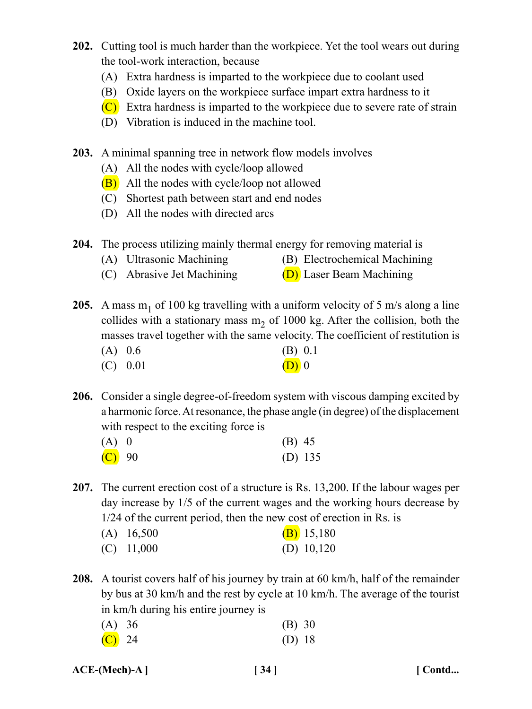- **202.** Cutting tool is much harder than the workpiece. Yet the tool wears out during the tool-work interaction, because
	- (A) Extra hardness is imparted to the workpiece due to coolant used
	- (B) Oxide layers on the workpiece surface impart extra hardness to it
	- (C) Extra hardness is imparted to the workpiece due to severe rate of strain
	- (D) Vibration is induced in the machine tool.
- **203.** A minimal spanning tree in network flow models involves
	- (A) All the nodes with cycle/loop allowed
	- (B) All the nodes with cycle/loop not allowed
	- (C) Shortest path between start and end nodes
	- (D) All the nodes with directed arcs

**204.** The process utilizing mainly thermal energy for removing material is

- (A) Ultrasonic Machining (B) Electrochemical Machining
- (C) Abrasive Jet Machining  $(D)$  Laser Beam Machining

**205.** A mass  $m_1$  of 100 kg travelling with a uniform velocity of 5 m/s along a line collides with a stationary mass  $m<sub>2</sub>$  of 1000 kg. After the collision, both the masses travel together with the same velocity. The coefficient of restitution is

- (A) 0.6 (B) 0.1 (C)  $0.01$  (D) 0
- **206.** Consider a single degree-of-freedom system with viscous damping excited by a harmonic force. At resonance, the phase angle (in degree) of the displacement with respect to the exciting force is

| $(A)$ 0             | $(B)$ 45  |
|---------------------|-----------|
| $\overline{(C)}$ 90 | (D) $135$ |

**207.** The current erection cost of a structure is Rs. 13,200. If the labour wages per day increase by 1/5 of the current wages and the working hours decrease by 1/24 of the current period, then the new cost of erection in Rs. is

| $(A)$ 16,500 | $(B)$ 15,180 |
|--------------|--------------|
| $(C)$ 11,000 | (D) $10,120$ |

**208.** A tourist covers half of his journey by train at 60 km/h, half of the remainder by bus at 30 km/h and the rest by cycle at 10 km/h. The average of the tourist in km/h during his entire journey is

| (A) 36              | (B) 30 |
|---------------------|--------|
| $\overline{(C)}$ 24 | (D) 18 |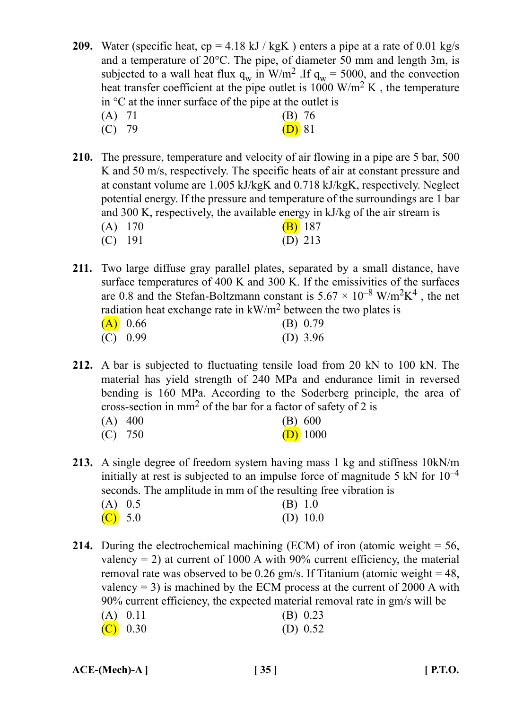**209.** Water (specific heat, cp = 4.18 kJ / kgK) enters a pipe at a rate of 0.01 kg/s and a temperature of 20°C. The pipe, of diameter 50 mm and length 3m, is subjected to a wall heat flux  $q_w$  in W/m<sup>2</sup> .If  $q_w = 5000$ , and the convection heat transfer coefficient at the pipe outlet is  $1000 \text{ W/m}^2 \text{ K}$ , the temperature in  $\mathrm{C}$  at the inner surface of the pipe at the outlet is

- (A) 71 (B) 76 (C) 79 (D) 81
- **210.** The pressure, temperature and velocity of air flowing in a pipe are 5 bar, 500 K and 50 m/s, respectively. The specific heats of air at constant pressure and at constant volume are 1.005 kJ/kgK and 0.718 kJ/kgK, respectively. Neglect potential energy. If the pressure and temperature of the surroundings are 1 bar and 300 K, respectively, the available energy in kJ/kg of the air stream is

| $(A)$ 170 |  | $(B)$ 187 |
|-----------|--|-----------|
| $(C)$ 191 |  | (D) $213$ |

**211.** Two large diffuse gray parallel plates, separated by a small distance, have surface temperatures of 400 K and 300 K. If the emissivities of the surfaces are 0.8 and the Stefan-Boltzmann constant is  $5.67 \times 10^{-8}$  W/m<sup>2</sup>K<sup>4</sup>, the net radiation heat exchange rate in  $kW/m^2$  between the two plates is

| (A) 0.66   | (B) 0.79   |
|------------|------------|
| $(C)$ 0.99 | (D) $3.96$ |

- **212.** A bar is subjected to fluctuating tensile load from 20 kN to 100 kN. The material has yield strength of 240 MPa and endurance limit in reversed bending is 160 MPa. According to the Soderberg principle, the area of cross-section in mm2 of the bar for a factor of safety of 2 is
	- (A) 400 (B) 600 (C)  $750$  (D) 1000

**213.** A single degree of freedom system having mass 1 kg and stiffness 10kN/m initially at rest is subjected to an impulse force of magnitude 5 kN for  $10^{-4}$ seconds. The amplitude in mm of the resulting free vibration is

| $(A)$ 0.5 | (B) 1.0    |
|-----------|------------|
| $(C)$ 5.0 | (D) $10.0$ |

**214.** During the electrochemical machining (ECM) of iron (atomic weight = 56, valency  $= 2$ ) at current of 1000 A with 90% current efficiency, the material removal rate was observed to be 0.26 gm/s. If Titanium (atomic weight  $= 48$ , valency  $= 3$ ) is machined by the ECM process at the current of 2000 A with 90% current efficiency, the expected material removal rate in gm/s will be (A) 0.11 (B) 0.23

| $\left(\Delta\right)$ 0.11 | $(D)$ 0.25 |  |
|----------------------------|------------|--|
| $(C)$ 0.30                 | (D) $0.52$ |  |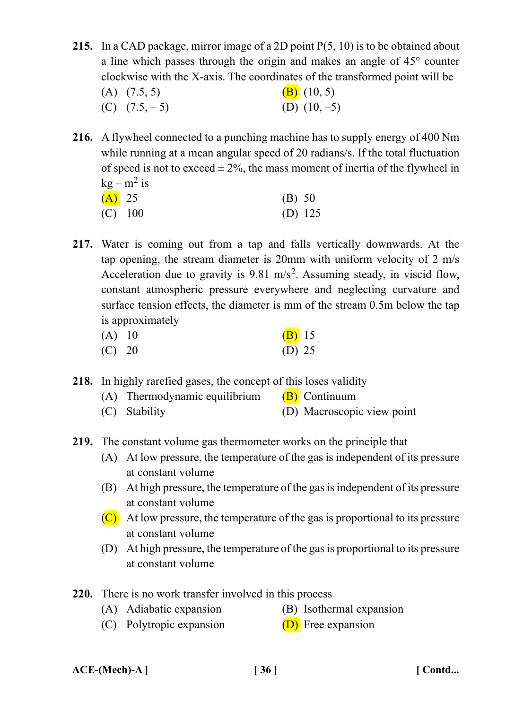- **215.** In a CAD package, mirror image of a 2D point P(5, 10) is to be obtained about a line which passes through the origin and makes an angle of 45° counter clockwise with the X-axis. The coordinates of the transformed point will be (A)  $(7.5, 5)$  (B)  $(10, 5)$ (C)  $(7.5, -5)$  (D)  $(10, -5)$
- **216.** A flywheel connected to a punching machine has to supply energy of 400 Nm while running at a mean angular speed of 20 radians/s. If the total fluctuation of speed is not to exceed  $\pm 2\%$ , the mass moment of inertia of the flywheel in  $k\varrho - m^2$  is

| $(A)$ 25 |           | (B) 50    |
|----------|-----------|-----------|
|          | $(C)$ 100 | (D) $125$ |

**217.** Water is coming out from a tap and falls vertically downwards. At the tap opening, the stream diameter is 20mm with uniform velocity of 2 m/s Acceleration due to gravity is 9.81 m/s<sup>2</sup>. Assuming steady, in viscid flow, constant atmospheric pressure everywhere and neglecting curvature and surface tension effects, the diameter is mm of the stream 0.5m below the tap is approximately

| $(A)$ 10 | $(B)$ 15 |  |
|----------|----------|--|
| $(C)$ 20 | (D) 25   |  |

- **218.** In highly rarefied gases, the concept of this loses validity
	- (A) Thermodynamic equilibrium  $(B)$  Continuum
	- (C) Stability (D) Macroscopic view point
- **219.** The constant volume gas thermometer works on the principle that
	- (A) At low pressure, the temperature of the gas is independent of its pressure at constant volume
	- (B) At high pressure, the temperature of the gas is independent of its pressure at constant volume
	- $(C)$  At low pressure, the temperature of the gas is proportional to its pressure at constant volume
	- (D) At high pressure, the temperature of the gas is proportional to its pressure at constant volume
- **220.** There is no work transfer involved in this process
	- (A) Adiabatic expansion (B) Isothermal expansion
- - (C) Polytropic expansion  $(D)$  Free expansion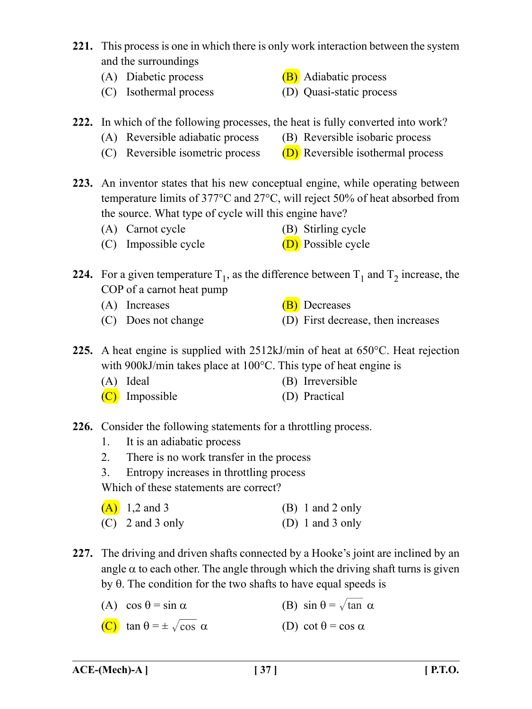- **221.** This process is one in which there is only work interaction between the system and the surroundings
	- (A) Diabetic process  $(B)$  Adiabatic process
	- (C) Isothermal process (D) Quasi-static process
- **222.** In which of the following processes, the heat is fully converted into work?
	- (A) Reversible adiabatic process (B) Reversible isobaric process
	- (C) Reversible isometric process  $(D)$  Reversible isothermal process
- **223.** An inventor states that his new conceptual engine, while operating between temperature limits of 377°C and 27°C, will reject 50% of heat absorbed from the source. What type of cycle will this engine have?
	- (A) Carnot cycle (B) Stirling cycle
	- (C) Impossible cycle  $(D)$  Possible cycle
- **224.** For a given temperature  $T_1$ , as the difference between  $T_1$  and  $T_2$  increase, the COP of a carnot heat pump
	-
	-
	- $(A)$  Increases  $(B)$  Decreases
	- (C) Does not change (D) First decrease, then increases
- **225.** A heat engine is supplied with 2512kJ/min of heat at 650°C. Heat rejection with 900kJ/min takes place at 100°C. This type of heat engine is
	- (A) Ideal (B) Irreversible
	- (C) Impossible (D) Practical
- **226.** Consider the following statements for a throttling process.
	- 1. It is an adiabatic process
	- 2. There is no work transfer in the process
	- 3. Entropy increases in throttling process

Which of these statements are correct?

| $(A)$ 1,2 and 3    | $(B)$ 1 and 2 only |
|--------------------|--------------------|
| $(C)$ 2 and 3 only | (D) 1 and 3 only   |

- **227.** The driving and driven shafts connected by a Hooke's joint are inclined by an angle  $\alpha$  to each other. The angle through which the driving shaft turns is given by  $\theta$ . The condition for the two shafts to have equal speeds is
	- (A)  $\cos \theta = \sin \alpha$  (B)  $\sin \theta = \sqrt{\tan \alpha}$
	- (C) tan  $\theta = \pm \sqrt{\cos \alpha}$  (D) cot  $\theta = \cos \alpha$
- 
-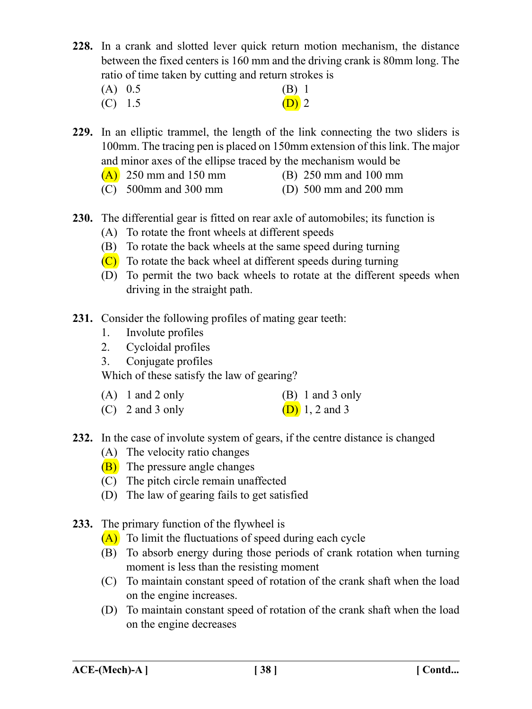- **228.** In a crank and slotted lever quick return motion mechanism, the distance between the fixed centers is 160 mm and the driving crank is 80mm long. The ratio of time taken by cutting and return strokes is
	- $(A)$  0.5 (B) 1
	- (C)  $1.5$  (D) 2

**229.** In an elliptic trammel, the length of the link connecting the two sliders is 100mm. The tracing pen is placed on 150mm extension of this link. The major and minor axes of the ellipse traced by the mechanism would be

- $(A)$  250 mm and 150 mm (B) 250 mm and 100 mm
- (C) 500mm and 300 mm (D) 500 mm and 200 mm
- **230.** The differential gear is fitted on rear axle of automobiles; its function is
	- (A) To rotate the front wheels at different speeds
	- (B) To rotate the back wheels at the same speed during turning
	- $(C)$  To rotate the back wheel at different speeds during turning
	- (D) To permit the two back wheels to rotate at the different speeds when driving in the straight path.
- **231.** Consider the following profiles of mating gear teeth:
	- 1. Involute profiles
	- 2. Cycloidal profiles
	- 3. Conjugate profiles

Which of these satisfy the law of gearing?

| $(A)$ 1 and 2 only | $(B)$ 1 and 3 only    |
|--------------------|-----------------------|
| $(C)$ 2 and 3 only | <b>(D)</b> 1, 2 and 3 |

- **232.** In the case of involute system of gears, if the centre distance is changed
	- (A) The velocity ratio changes
	- (B) The pressure angle changes
	- (C) The pitch circle remain unaffected
	- (D) The law of gearing fails to get satisfied
- **233.** The primary function of the flywheel is
	- (A) To limit the fluctuations of speed during each cycle
	- (B) To absorb energy during those periods of crank rotation when turning moment is less than the resisting moment
	- (C) To maintain constant speed of rotation of the crank shaft when the load on the engine increases.
	- (D) To maintain constant speed of rotation of the crank shaft when the load on the engine decreases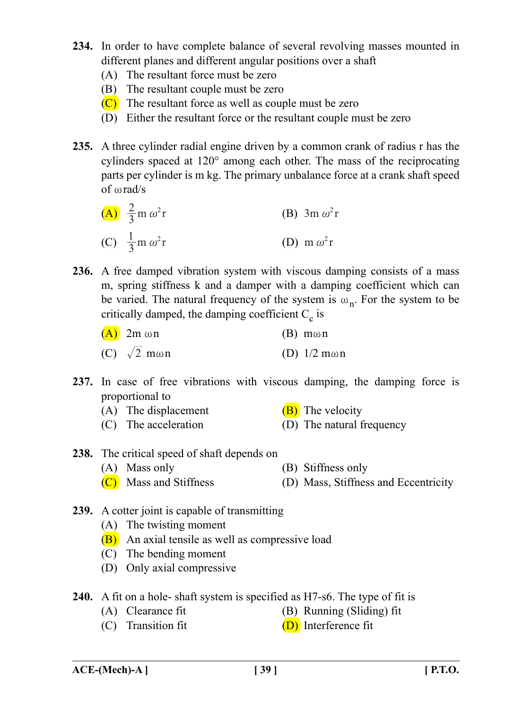- **234.** In order to have complete balance of several revolving masses mounted in different planes and different angular positions over a shaft
	- (A) The resultant force must be zero
	- (B) The resultant couple must be zero
	- $(C)$  The resultant force as well as couple must be zero
	- (D) Either the resultant force or the resultant couple must be zero
- **235.** A three cylinder radial engine driven by a common crank of radius r has the cylinders spaced at 120° among each other. The mass of the reciprocating parts per cylinder is m kg. The primary unbalance force at a crank shaft speed of  $\omega$  rad/s

(A) 
$$
\frac{2}{3}
$$
m  $\omega^2$ r  
\n(B)  $3m \omega^2 r$   
\n(C)  $\frac{1}{3}$ m  $\omega^2 r$   
\n(D) m  $\omega^2 r$ 

**236.** A free damped vibration system with viscous damping consists of a mass m, spring stiffness k and a damper with a damping coefficient which can be varied. The natural frequency of the system is  $\omega_n$ . For the system to be critically damped, the damping coefficient  $C_c$  is

| $(A)$ 2m $\omega$ n         | $(B)$ m $\omega$ n     |
|-----------------------------|------------------------|
| (C) $\sqrt{2}$ m $\omega$ n | (D) $1/2$ m $\omega$ n |

- **237.** In case of free vibrations with viscous damping, the damping force is proportional to
	- (A) The displacement  $(B)$  The velocity
	- (C) The acceleration (D) The natural frequency
- **238.** The critical speed of shaft depends on (A) Mass only (B) Stiffness only
	- $(C)$  Mass and Stiffness (D) Mass, Stiffness and Eccentricity
- **239.** A cotter joint is capable of transmitting
	- (A) The twisting moment
	- (B) An axial tensile as well as compressive load
	- (C) The bending moment
	- (D) Only axial compressive
- **240.** A fit on a hole- shaft system is specified as H7-s6. The type of fit is
	- (A) Clearance fit (B) Running (Sliding) fit
	- (C) Transition fit  $(D)$  Interference fit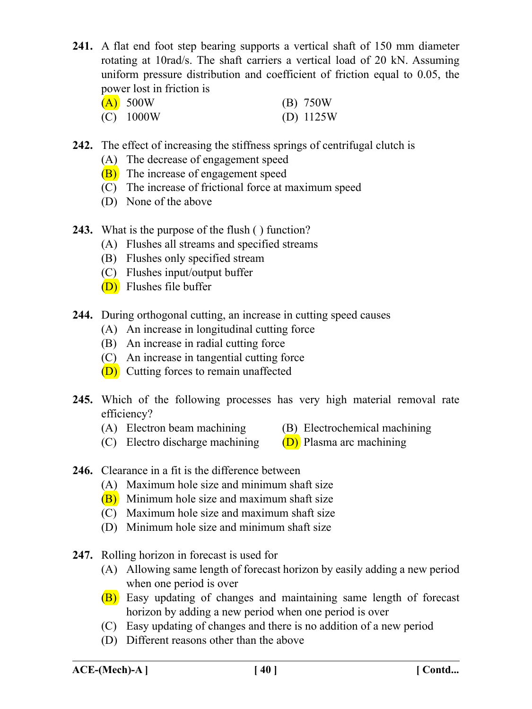**241.** A flat end foot step bearing supports a vertical shaft of 150 mm diameter rotating at 10rad/s. The shaft carriers a vertical load of 20 kN. Assuming uniform pressure distribution and coefficient of friction equal to 0.05, the power lost in friction is

| $(A)$ 500W  | (B) 750W    |
|-------------|-------------|
| $(C)$ 1000W | (D) $1125W$ |

- **242.** The effect of increasing the stiffness springs of centrifugal clutch is
	- (A) The decrease of engagement speed
	- (B) The increase of engagement speed
	- (C) The increase of frictional force at maximum speed
	- (D) None of the above
- **243.** What is the purpose of the flush ( ) function?
	- (A) Flushes all streams and specified streams
	- (B) Flushes only specified stream
	- (C) Flushes input/output buffer
	- (D) Flushes file buffer
- **244.** During orthogonal cutting, an increase in cutting speed causes
	- (A) An increase in longitudinal cutting force
	- (B) An increase in radial cutting force
	- (C) An increase in tangential cutting force
	- (D) Cutting forces to remain unaffected
- **245.** Which of the following processes has very high material removal rate efficiency?
	- (A) Electron beam machining (B) Electrochemical machining
- - (C) Electro discharge machining  $(D)$  Plasma arc machining
- 
- **246.** Clearance in a fit is the difference between
	- (A) Maximum hole size and minimum shaft size
	- (B) Minimum hole size and maximum shaft size
	- (C) Maximum hole size and maximum shaft size
	- (D) Minimum hole size and minimum shaft size
- **247.** Rolling horizon in forecast is used for
	- (A) Allowing same length of forecast horizon by easily adding a new period when one period is over
	- (B) Easy updating of changes and maintaining same length of forecast horizon by adding a new period when one period is over
	- (C) Easy updating of changes and there is no addition of a new period
	- (D) Different reasons other than the above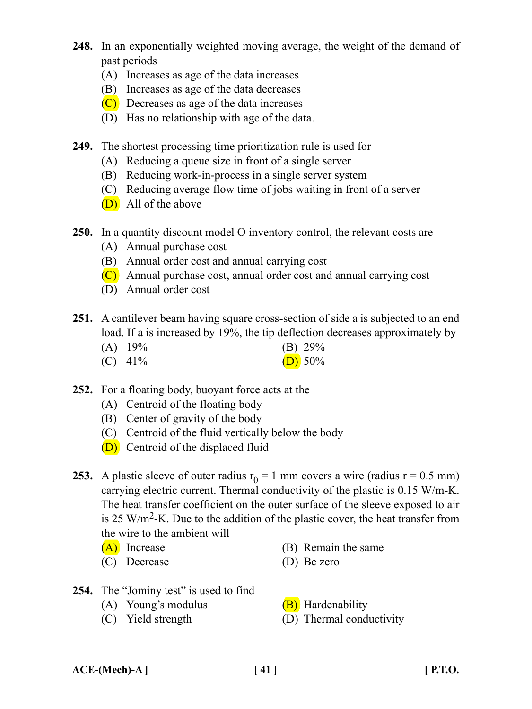- **248.** In an exponentially weighted moving average, the weight of the demand of past periods
	- (A) Increases as age of the data increases
	- (B) Increases as age of the data decreases
	- $(C)$  Decreases as age of the data increases
	- (D) Has no relationship with age of the data.
- **249.** The shortest processing time prioritization rule is used for
	- (A) Reducing a queue size in front of a single server
	- (B) Reducing work-in-process in a single server system
	- (C) Reducing average flow time of jobs waiting in front of a server
	- (D) All of the above
- **250.** In a quantity discount model O inventory control, the relevant costs are
	- (A) Annual purchase cost
	- (B) Annual order cost and annual carrying cost
	- (C) Annual purchase cost, annual order cost and annual carrying cost
	- (D) Annual order cost
- **251.** A cantilever beam having square cross-section of side a is subjected to an end load. If a is increased by 19%, the tip deflection decreases approximately by
	- (A)  $19\%$  (B)  $29\%$
	- (C)  $41\%$  (D) 50%
- **252.** For a floating body, buoyant force acts at the
	- (A) Centroid of the floating body
	- (B) Center of gravity of the body
	- (C) Centroid of the fluid vertically below the body
	- (D) Centroid of the displaced fluid
- **253.** A plastic sleeve of outer radius  $r_0 = 1$  mm covers a wire (radius  $r = 0.5$  mm) carrying electric current. Thermal conductivity of the plastic is 0.15 W/m-K. The heat transfer coefficient on the outer surface of the sleeve exposed to air is 25 W/m<sup>2</sup>-K. Due to the addition of the plastic cover, the heat transfer from the wire to the ambient will
	-
	- (C) Decrease (D) Be zero
	- $(A)$  Increase (B) Remain the same
		-
- 254. The "Jominy test" is used to find
	- (A) Young's modulus  $(B)$  Hardenability
	-
- 
- (C) Yield strength (D) Thermal conductivity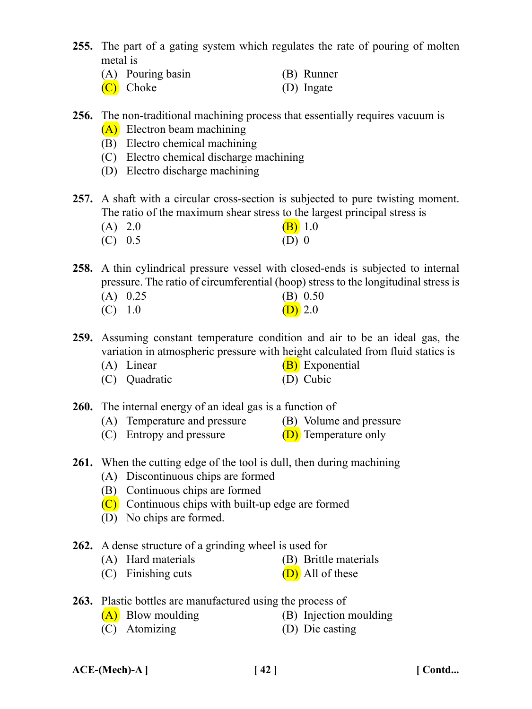- **255.** The part of a gating system which regulates the rate of pouring of molten metal is
	- (A) Pouring basin (B) Runner
	- (C) Choke (D) Ingate
- **256.** The non-traditional machining process that essentially requires vacuum is (A) Electron beam machining
	- (B) Electro chemical machining
	- (C) Electro chemical discharge machining
	- (D) Electro discharge machining
- **257.** A shaft with a circular cross-section is subjected to pure twisting moment. The ratio of the maximum shear stress to the largest principal stress is
	- (A) 2.0 (B) 1.0
	- $(C)$  0.5 (D) 0
- **258.** A thin cylindrical pressure vessel with closed-ends is subjected to internal pressure. The ratio of circumferential (hoop) stress to the longitudinal stress is
	- (A) 0.25 (B) 0.50 (C)  $1.0$  (D)  $2.0$
- **259.** Assuming constant temperature condition and air to be an ideal gas, the variation in atmospheric pressure with height calculated from fluid statics is
	- (A) Linear  $(B)$  Exponential
	- (C) Quadratic (D) Cubic
- **260.** The internal energy of an ideal gas is a function of
	- (A) Temperature and pressure (B) Volume and pressure
	- (C) Entropy and pressure  $(D)$  Temperature only
- **261.** When the cutting edge of the tool is dull, then during machining
	- (A) Discontinuous chips are formed
	- (B) Continuous chips are formed
	- (C) Continuous chips with built-up edge are formed
	- (D) No chips are formed.
- **262.** A dense structure of a grinding wheel is used for
	- (A) Hard materials (B) Brittle materials
	- (C) Finishing cuts  $(D)$  All of these
- **263.** Plastic bottles are manufactured using the process of
	-
	- (A) Blow moulding (B) Injection moulding
	- (C) Atomizing (D) Die casting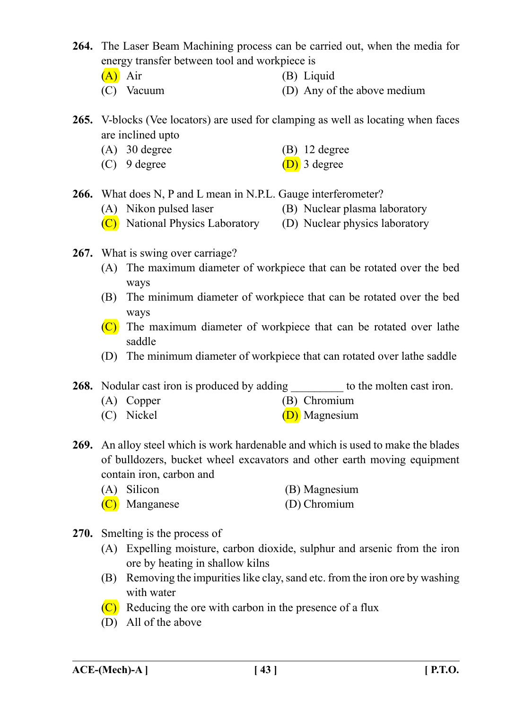**264.** The Laser Beam Machining process can be carried out, when the media for energy transfer between tool and workpiece is

- 
- (A) Air (B) Liquid
	- (C) Vacuum (D) Any of the above medium
- **265.** V-blocks (Vee locators) are used for clamping as well as locating when faces are inclined upto
	- (A) 30 degree (B) 12 degree
	- (C) 9 degree  $(D)$  3 degree
- 

**266.** What does N, P and L mean in N.P.L. Gauge interferometer?

- (A) Nikon pulsed laser (B) Nuclear plasma laboratory
- $(\overrightarrow{C})$  National Physics Laboratory (D) Nuclear physics laboratory
- **267.** What is swing over carriage?
	- (A) The maximum diameter of workpiece that can be rotated over the bed ways
	- (B) The minimum diameter of workpiece that can be rotated over the bed ways
	- (C) The maximum diameter of workpiece that can be rotated over lathe saddle
	- (D) The minimum diameter of workpiece that can rotated over lathe saddle

**268.** Nodular cast iron is produced by adding to the molten cast iron.

- (A) Copper (B) Chromium
- (C) Nickel (D) Magnesium
- **269.** An alloy steel which is work hardenable and which is used to make the blades of bulldozers, bucket wheel excavators and other earth moving equipment contain iron, carbon and
	- (A) Silicon (B) Magnesium
	- (C) Manganese (D) Chromium
- **270.** Smelting is the process of
	- (A) Expelling moisture, carbon dioxide, sulphur and arsenic from the iron ore by heating in shallow kilns
	- (B) Removing the impurities like clay, sand etc. from the iron ore by washing with water
	- (C) Reducing the ore with carbon in the presence of a flux
	- (D) All of the above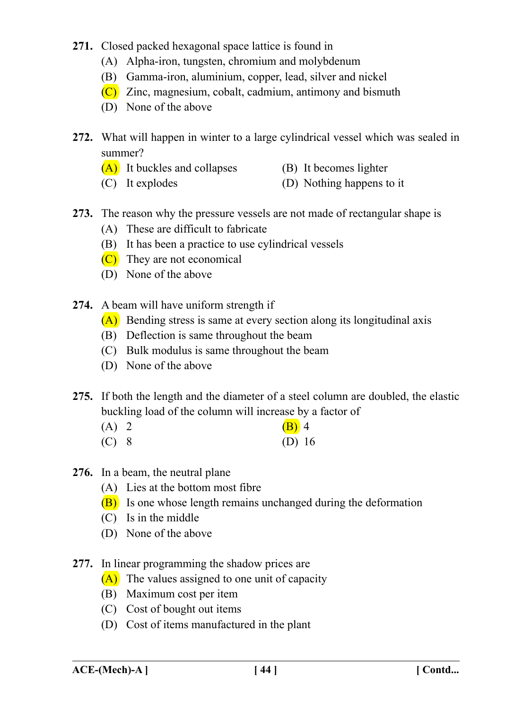- **271.** Closed packed hexagonal space lattice is found in
	- (A) Alpha-iron, tungsten, chromium and molybdenum
	- (B) Gamma-iron, aluminium, copper, lead, silver and nickel
	- (C) Zinc, magnesium, cobalt, cadmium, antimony and bismuth
	- (D) None of the above
- **272.** What will happen in winter to a large cylindrical vessel which was sealed in summer?
	- $(A)$  It buckles and collapses (B) It becomes lighter
	- (C) It explodes (D) Nothing happens to it
- **273.** The reason why the pressure vessels are not made of rectangular shape is
	- (A) These are difficult to fabricate
	- (B) It has been a practice to use cylindrical vessels
	- (C) They are not economical
	- (D) None of the above
- **274.** A beam will have uniform strength if
	- (A) Bending stress is same at every section along its longitudinal axis
	- (B) Deflection is same throughout the beam
	- (C) Bulk modulus is same throughout the beam
	- (D) None of the above
- **275.** If both the length and the diameter of a steel column are doubled, the elastic buckling load of the column will increase by a factor of
	- (A) 2 (B) 4
	- (C) 8 (D) 16
- **276.** In a beam, the neutral plane
	- (A) Lies at the bottom most fibre
	- (B) Is one whose length remains unchanged during the deformation
	- (C) Is in the middle
	- (D) None of the above
- **277.** In linear programming the shadow prices are
	- (A) The values assigned to one unit of capacity
	- (B) Maximum cost per item
	- (C) Cost of bought out items
	- (D) Cost of items manufactured in the plant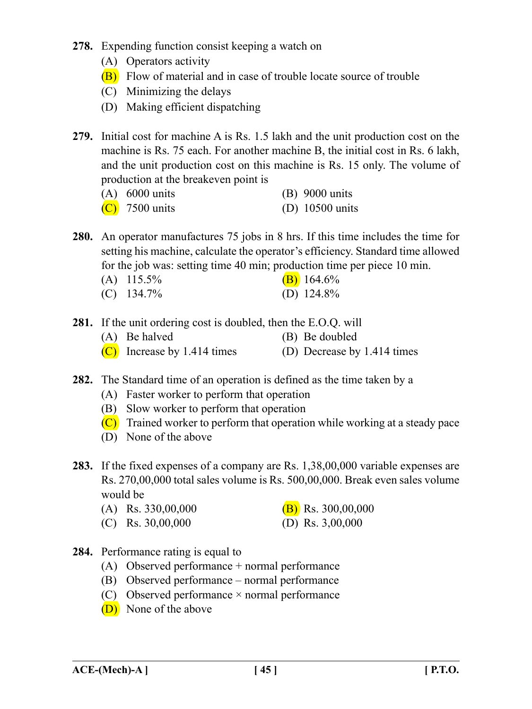- **278.** Expending function consist keeping a watch on
	- (A) Operators activity
	- (B) Flow of material and in case of trouble locate source of trouble
	- (C) Minimizing the delays
	- (D) Making efficient dispatching
- **279.** Initial cost for machine A is Rs. 1.5 lakh and the unit production cost on the machine is Rs. 75 each. For another machine B, the initial cost in Rs. 6 lakh, and the unit production cost on this machine is Rs. 15 only. The volume of production at the breakeven point is

| $(A)$ 6000 units | $(B)$ 9000 units  |
|------------------|-------------------|
| $(C)$ 7500 units | (D) $10500$ units |

- **280.** An operator manufactures 75 jobs in 8 hrs. If this time includes the time for setting his machine, calculate the operator's efficiency. Standard time allowed for the job was: setting time 40 min; production time per piece 10 min.
	- (A)  $115.5\%$  (B)  $164.6\%$
	- (C) 134.7% (D) 124.8%
- **281.** If the unit ordering cost is doubled, then the E.O.Q. will
	- (A) Be halved (B) Be doubled
	- (C) Increase by 1.414 times (D) Decrease by 1.414 times
- **282.** The Standard time of an operation is defined as the time taken by a
	- (A) Faster worker to perform that operation
	- (B) Slow worker to perform that operation
	- (C) Trained worker to perform that operation while working at a steady pace
	- (D) None of the above
- **283.** If the fixed expenses of a company are Rs. 1,38,00,000 variable expenses are Rs. 270,00,000 total sales volume is Rs. 500,00,000. Break even sales volume would be
	- (A) Rs. 330,00,000 (B) Rs. 300,00,000
- - (C) Rs. 30,00,000 (D) Rs. 3,00,000
- 
- **284.** Performance rating is equal to
	- (A) Observed performance + normal performance
	- (B) Observed performance normal performance
	- (C) Observed performance  $\times$  normal performance
	- (D) None of the above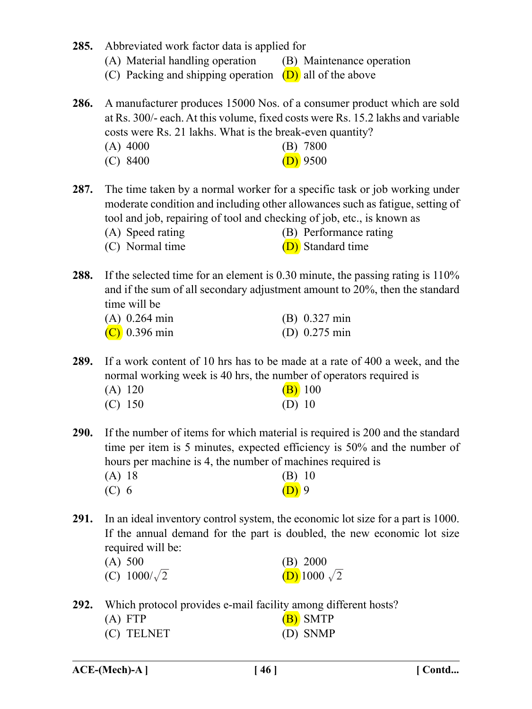- **285.** Abbreviated work factor data is applied for
	- (A) Material handling operation (B) Maintenance operation
	- (C) Packing and shipping operation  $(D)$  all of the above

**286.** A manufacturer produces 15000 Nos. of a consumer product which are sold at Rs. 300/- each. At this volume, fixed costs were Rs. 15.2 lakhs and variable costs were Rs. 21 lakhs. What is the break-even quantity? (A) 4000 (B) 7800

| $(A)$ 4000 | $(D)$ /000 |
|------------|------------|
| $(C)$ 8400 | $(D)$ 9500 |

**287.** The time taken by a normal worker for a specific task or job working under moderate condition and including other allowances such as fatigue, setting of tool and job, repairing of tool and checking of job, etc., is known as

- (A) Speed rating (B) Performance rating
- (C) Normal time (D) Standard time
- **288.** If the selected time for an element is 0.30 minute, the passing rating is 110% and if the sum of all secondary adjustment amount to 20%, then the standard time will be

| $(A)$ 0.264 min | $(B) 0.327$ min         |
|-----------------|-------------------------|
| $(C)$ 0.396 min | (D) $0.275 \text{ min}$ |

**289.** If a work content of 10 hrs has to be made at a rate of 400 a week, and the normal working week is 40 hrs, the number of operators required is

| $(A)$ 120 | $(B)$ 100 |
|-----------|-----------|
| $(C)$ 150 | (D) 10    |

**290.** If the number of items for which material is required is 200 and the standard time per item is 5 minutes, expected efficiency is 50% and the number of hours per machine is 4, the number of machines required is (A) 18 (B) 10

| (11) 10 | $(\mathbf{p})$ to |
|---------|-------------------|
| $(C)$ 6 | $(D)$ 9           |

**291.** In an ideal inventory control system, the economic lot size for a part is 1000. If the annual demand for the part is doubled, the new economic lot size required will be:

| (A) 500             | (B) 2000                   |
|---------------------|----------------------------|
| (C) $1000/\sqrt{2}$ | <b>(D)</b> 1000 $\sqrt{2}$ |

**292.** Which protocol provides e-mail facility among different hosts?

| $(A)$ FTP  | (B) SMTP |
|------------|----------|
| (C) TELNET | (D) SNMP |